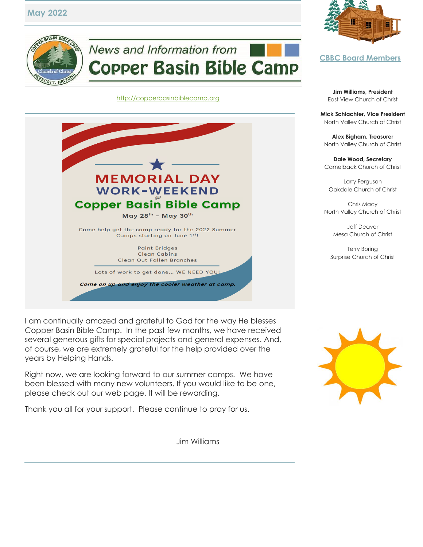



#### [http://copperbasinbiblecamp.org](http://copperbasinbiblecamp.org/)



I am continually amazed and grateful to God for the way He blesses Copper Basin Bible Camp. In the past few months, we have received several generous gifts for special projects and general expenses. And, of course, we are extremely grateful for the help provided over the years by Helping Hands.

Right now, we are looking forward to our summer camps. We have been blessed with many new volunteers. If you would like to be one, please check out our web page. It will be rewarding.

Thank you all for your support. Please continue to pray for us.





#### **CBBC Board Members**

**Jim Williams, President** East View Church of Christ

**Mick Schlachter, Vice President** North Valley Church of Christ

**Alex Bigham, Treasurer**  North Valley Church of Christ

**Dale Wood, Secretary** Camelback Church of Christ

Larry Ferguson Oakdale Church of Christ

Chris Macy North Valley Church of Christ

> Jeff Deaver Mesa Church of Christ

Terry Boring Surprise Church of Christ

Jim Williams

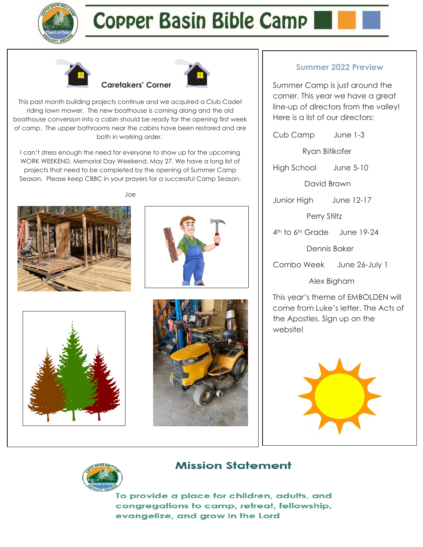

# **Copper Basin Bible Camp |**



**Caretakers' Corner**



This past month building projects continue and we acquired a Club Cadet riding lawn mower. The new boathouse is coming along and the old boathouse conversion into a cabin should be ready for the opening first week of camp. The upper bathrooms near the cabins have been restored and are both in working order.

I can't stress enough the need for everyone to show up for the upcoming WORK WEEKEND, Memorial Day Weekend, May 27. We have a long list of projects that need to be completed by the opening of Summer Camp Season. Please keep CBBC in your prayers for a successful Camp Season.



Joe







#### **Summer 2022 Preview**

Summer Camp is just around the corner. This year we have a great line-up of directors from the valley! Here is a list of our directors:

Cub Camp June 1-3

Ryan Bitikofer

High School June 5-10

David Brown

Junior High June 12-17

Perry Stiltz

4<sup>th</sup> to 6<sup>th</sup> Grade June 19-24

Dennis Baker

Combo Week June 26-July 1

Alex Bigham

This year's theme of EMBOLDEN will come from Luke's letter, The Acts of the Apostles. Sign up on the website!





## **Mission Statement**

To provide a place for children, adults, and congregations to camp, retreat, fellowship, evangelize, and grow in the Lord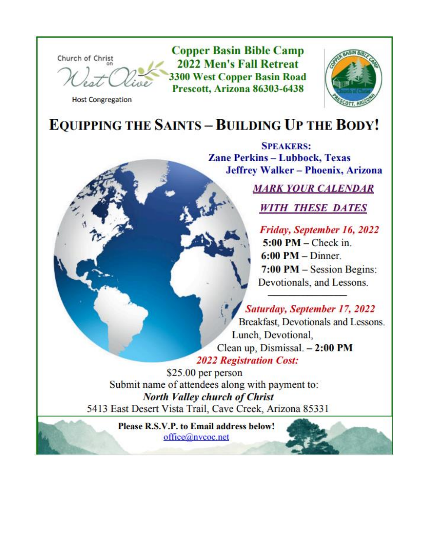Church of Christ

**Host Congregation** 

**Copper Basin Bible Camp 2022 Men's Fall Retreat 3300 West Copper Basin Road** Prescott, Arizona 86303-6438



**EQUIPPING THE SAINTS - BUILDING UP THE BODY!** 

**SPEAKERS: Zane Perkins – Lubbock, Texas** Jeffrey Walker - Phoenix, Arizona

**MARK YOUR CALENDAR** 

**WITH THESE DATES** 

Friday, September 16, 2022  $5:00 \text{ PM}$  – Check in.  $6:00 \text{ PM} - \text{Dinner.}$  $7:00 \text{ PM} - \text{Session Begins}:$ Devotionals, and Lessons.

Saturday, September 17, 2022 Breakfast, Devotionals and Lessons. Lunch, Devotional, Clean up, Dismissal.  $-2:00$  PM **2022 Registration Cost:** 

\$25.00 per person Submit name of attendees along with payment to: **North Valley church of Christ** 5413 East Desert Vista Trail, Cave Creek, Arizona 85331

> Please R.S.V.P. to Email address below! office@nvcoc.net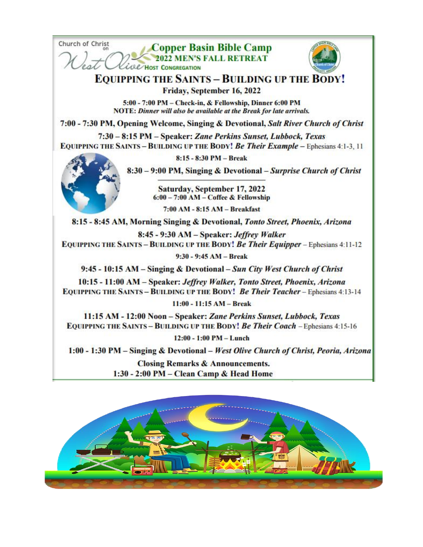Church of Christ **Copper Basin Bible Camp 2022 MEN'S FALL RETREAT CLE HOST CONGREGATION EQUIPPING THE SAINTS - BUILDING UP THE BODY!** Friday, September 16, 2022 5:00 - 7:00 PM - Check-in, & Fellowship, Dinner 6:00 PM NOTE: Dinner will also be available at the Break for late arrivals. 7:00 - 7:30 PM, Opening Welcome, Singing & Devotional, Salt River Church of Christ 7:30 - 8:15 PM - Speaker: Zane Perkins Sunset, Lubbock, Texas EQUIPPING THE SAINTS - BUILDING UP THE BODY! Be Their Example - Ephesians 4:1-3, 11  $8:15 - 8:30$  PM - Break 8:30 - 9:00 PM, Singing & Devotional - Surprise Church of Christ Saturday, September 17, 2022  $6:00 - 7:00$  AM - Coffee & Fellowship 7:00 AM - 8:15 AM - Breakfast 8:15 - 8:45 AM, Morning Singing & Devotional, Tonto Street, Phoenix, Arizona 8:45 - 9:30 AM - Speaker: Jeffrey Walker EQUIPPING THE SAINTS - BUILDING UP THE BODY! Be Their Equipper - Ephesians 4:11-12  $9:30 - 9:45 AM - Break$ 9:45 - 10:15 AM - Singing & Devotional - Sun City West Church of Christ 10:15 - 11:00 AM - Speaker: Jeffrey Walker, Tonto Street, Phoenix, Arizona EQUIPPING THE SAINTS - BUILDING UP THE BODY! Be Their Teacher - Ephesians 4:13-14  $11:00 - 11:15 AM - Break$ 11:15 AM - 12:00 Noon - Speaker: Zane Perkins Sunset, Lubbock, Texas EQUIPPING THE SAINTS - BUILDING UP THE BODY! Be Their Coach - Ephesians 4:15-16  $12:00 - 1:00 PM - Lunch$ 1:00 - 1:30 PM - Singing & Devotional - West Olive Church of Christ, Peoria, Arizona **Closing Remarks & Announcements.** 1:30 - 2:00 PM - Clean Camp & Head Home